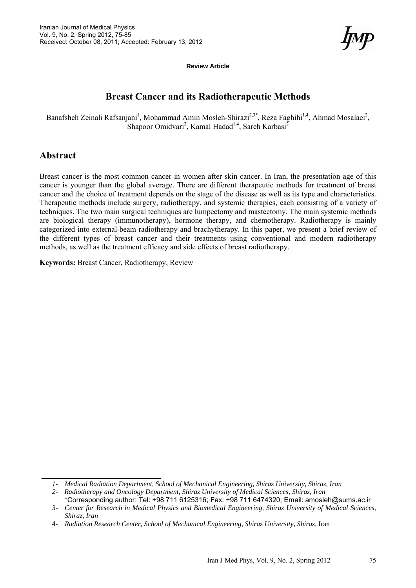**Review Article**

# **Breast Cancer and its Radiotherapeutic Methods**

Banafsheh Zeinali Rafsanjani<sup>1</sup>, Mohammad Amin Mosleh-Shirazi<sup>2,3\*</sup>, Reza Faghihi<sup>1,4</sup>, Ahmad Mosalaei<sup>2</sup>, Shapoor Omidvari<sup>2</sup>, Kamal Hadad<sup>1,4</sup>, Sareh Karbasi<sup>2</sup>

### **Abstract**

Breast cancer is the most common cancer in women after skin cancer. In Iran, the presentation age of this cancer is younger than the global average. There are different therapeutic methods for treatment of breast cancer and the choice of treatment depends on the stage of the disease as well as its type and characteristics. Therapeutic methods include surgery, radiotherapy, and systemic therapies, each consisting of a variety of techniques. The two main surgical techniques are lumpectomy and mastectomy. The main systemic methods are biological therapy (immunotherapy), hormone therapy, and chemotherapy. Radiotherapy is mainly categorized into external-beam radiotherapy and brachytherapy. In this paper, we present a brief review of the different types of breast cancer and their treatments using conventional and modern radiotherapy methods, as well as the treatment efficacy and side effects of breast radiotherapy.

**Keywords:** Breast Cancer, Radiotherapy, Review

*<sup>1-</sup> Medical Radiation Department, School of Mechanical Engineering, Shiraz University, Shiraz, Iran* 

*<sup>2-</sup> Radiotherapy and Oncology Department, Shiraz University of Medical Sciences, Shiraz, Iran*  \*Corresponding author: Tel: +98 711 6125316; Fax: +98 711 6474320; Email: amosleh@sums.ac.ir

*<sup>3-</sup> Center for Research in Medical Physics and Biomedical Engineering, Shiraz University of Medical Sciences, Shiraz, Iran* 

<sup>4-</sup> *Radiation Research Center, School of Mechanical Engineering, Shiraz University, Shiraz,* Iran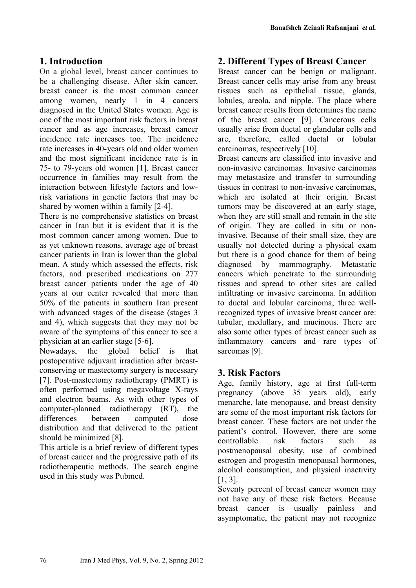## **1. Introduction**

On a global level, breast cancer continues to be a challenging disease. After skin cancer, breast cancer is the most common cancer among women, nearly 1 in 4 cancers diagnosed in the United States women. Age is one of the most important risk factors in breast cancer and as age increases, breast cancer incidence rate increases too. The incidence rate increases in 40-years old and older women and the most significant incidence rate is in 75- to 79-years old women [1]. Breast cancer occurrence in families may result from the interaction between lifestyle factors and lowrisk variations in genetic factors that may be shared by women within a family [2-4].

There is no comprehensive statistics on breast cancer in Iran but it is evident that it is the most common cancer among women. Due to as yet unknown reasons, average age of breast cancer patients in Iran is lower than the global mean. A study which assessed the effects, risk factors, and prescribed medications on 277 breast cancer patients under the age of 40 years at our center revealed that more than 50% of the patients in southern Iran present with advanced stages of the disease (stages 3 and 4), which suggests that they may not be aware of the symptoms of this cancer to see a physician at an earlier stage [5-6].

Nowadays, the global belief is that postoperative adjuvant irradiation after breastconserving or mastectomy surgery is necessary [7]. Post-mastectomy radiotherapy (PMRT) is often performed using megavoltage X-rays and electron beams. As with other types of computer-planned radiotherapy (RT), the differences between computed dose distribution and that delivered to the patient should be minimized [8].

This article is a brief review of different types of breast cancer and the progressive path of its radiotherapeutic methods. The search engine used in this study was Pubmed.

## **2. Different Types of Breast Cancer**

Breast cancer can be benign or malignant. Breast cancer cells may arise from any breast tissues such as epithelial tissue, glands, lobules, areola, and nipple. The place where breast cancer results from determines the name of the breast cancer [9]. Cancerous cells usually arise from ductal or glandular cells and are, therefore, called ductal or lobular carcinomas, respectively [10].

Breast cancers are classified into invasive and non-invasive carcinomas. Invasive carcinomas may metastasize and transfer to surrounding tissues in contrast to non-invasive carcinomas, which are isolated at their origin. Breast tumors may be discovered at an early stage, when they are still small and remain in the site of origin. They are called in situ or noninvasive. Because of their small size, they are usually not detected during a physical exam but there is a good chance for them of being diagnosed by mammography. Metastatic cancers which penetrate to the surrounding tissues and spread to other sites are called infiltrating or invasive carcinoma. In addition to ductal and lobular carcinoma, three wellrecognized types of invasive breast cancer are: tubular, medullary, and mucinous. There are also some other types of breast cancer such as inflammatory cancers and rare types of sarcomas [9].

### **3. Risk Factors**

Age, family history, age at first full-term pregnancy (above 35 years old), early menarche, late menopause, and breast density are some of the most important risk factors for breast cancer. These factors are not under the patient's control. However, there are some controllable risk factors such as postmenopausal obesity, use of combined estrogen and progestin menopausal hormones, alcohol consumption, and physical inactivity [1, 3].

Seventy percent of breast cancer women may not have any of these risk factors. Because breast cancer is usually painless and asymptomatic, the patient may not recognize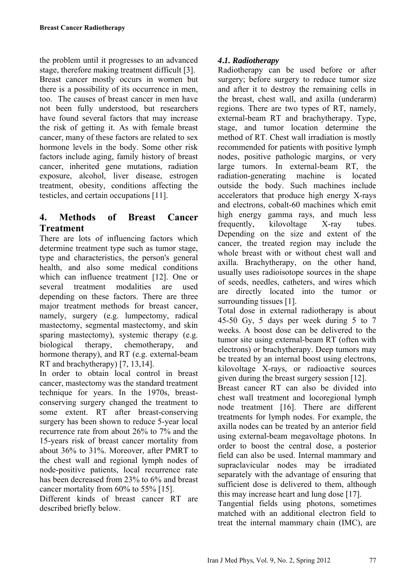the problem until it progresses to an advanced stage, therefore making treatment difficult [3]. Breast cancer mostly occurs in women but there is a possibility of its occurrence in men, too. The causes of breast cancer in men have not been fully understood, but researchers have found several factors that may increase the risk of getting it. As with female breast cancer, many of these factors are related to sex hormone levels in the body. Some other risk factors include aging, family history of breast cancer, inherited gene mutations, radiation exposure, alcohol, liver disease, estrogen treatment, obesity, conditions affecting the testicles, and certain occupations [11].

## **4. Methods of Breast Cancer Treatment**

There are lots of influencing factors which determine treatment type such as tumor stage, type and characteristics, the person's general health, and also some medical conditions which can influence treatment [12]. One or several treatment modalities are used depending on these factors. There are three major treatment methods for breast cancer, namely, surgery (e.g. lumpectomy, radical mastectomy, segmental mastectomy, and skin sparing mastectomy), systemic therapy (e.g. biological therapy, chemotherapy, and hormone therapy), and RT (e.g. external-beam RT and brachytherapy) [7, 13,14].

In order to obtain local control in breast cancer, mastectomy was the standard treatment technique for years. In the 1970s, breastconserving surgery changed the treatment to some extent. RT after breast-conserving surgery has been shown to reduce 5-year local recurrence rate from about 26% to 7% and the 15-years risk of breast cancer mortality from about 36% to 31%. Moreover, after PMRT to the chest wall and regional lymph nodes of node-positive patients, local recurrence rate has been decreased from 23% to 6% and breast cancer mortality from 60% to 55% [15].

Different kinds of breast cancer RT are described briefly below.

### *4***.***1. Radiotherapy*

Radiotherapy can be used before or after surgery; before surgery to reduce tumor size and after it to destroy the remaining cells in the breast, chest wall, and axilla (underarm) regions. There are two types of RT, namely, external-beam RT and brachytherapy. Type, stage, and tumor location determine the method of RT. Chest wall irradiation is mostly recommended for patients with positive lymph nodes, positive pathologic margins, or very large tumors. In external-beam RT, the radiation-generating machine is located outside the body. Such machines include accelerators that produce high energy X-rays and electrons, cobalt-60 machines which emit high energy gamma rays, and much less frequently, kilovoltage X-ray tubes. Depending on the size and extent of the cancer, the treated region may include the whole breast with or without chest wall and axilla. Brachytherapy, on the other hand, usually uses radioisotope sources in the shape of seeds, needles, catheters, and wires which are directly located into the tumor or surrounding tissues [1].

Total dose in external radiotherapy is about 45-50 Gy, 5 days per week during 5 to 7 weeks. A boost dose can be delivered to the tumor site using external-beam RT (often with electrons) or brachytherapy. Deep tumors may be treated by an internal boost using electrons, kilovoltage X-rays, or radioactive sources given during the breast surgery session [12].

Breast cancer RT can also be divided into chest wall treatment and locoregional lymph node treatment [16]. There are different treatments for lymph nodes. For example, the axilla nodes can be treated by an anterior field using external-beam megavoltage photons. In order to boost the central dose, a posterior field can also be used. Internal mammary and supraclavicular nodes may be irradiated separately with the advantage of ensuring that sufficient dose is delivered to them, although this may increase heart and lung dose [17].

Tangential fields using photons, sometimes matched with an additional electron field to treat the internal mammary chain (IMC), are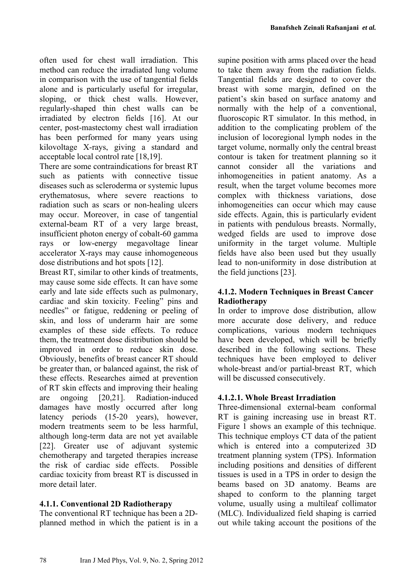often used for chest wall irradiation. This method can reduce the irradiated lung volume in comparison with the use of tangential fields alone and is particularly useful for irregular, sloping, or thick chest walls. However, regularly-shaped thin chest walls can be irradiated by electron fields [16]. At our center, post-mastectomy chest wall irradiation has been performed for many years using kilovoltage X-rays, giving a standard and acceptable local control rate [18,19].

There are some contraindications for breast RT such as patients with connective tissue diseases such as scleroderma or systemic lupus erythematosus, where severe reactions to radiation such as scars or non-healing ulcers may occur. Moreover, in case of tangential external-beam RT of a very large breast, insufficient photon energy of cobalt-60 gamma rays or low-energy megavoltage linear accelerator X-rays may cause inhomogeneous dose distributions and hot spots [12].

Breast RT, similar to other kinds of treatments, may cause some side effects. It can have some early and late side effects such as pulmonary, cardiac and skin toxicity. Feeling" pins and needles" or fatigue, reddening or peeling of skin, and loss of underarm hair are some examples of these side effects. To reduce them, the treatment dose distribution should be improved in order to reduce skin dose. Obviously, benefits of breast cancer RT should be greater than, or balanced against, the risk of these effects. Researches aimed at prevention of RT skin effects and improving their healing are ongoing [20,21]. Radiation-induced damages have mostly occurred after long latency periods (15-20 years), however, modern treatments seem to be less harmful, although long-term data are not yet available [22]. Greater use of adjuvant systemic chemotherapy and targeted therapies increase the risk of cardiac side effects. Possible cardiac toxicity from breast RT is discussed in more detail later.

### **4.1.1. Conventional 2D Radiotherapy**

The conventional RT technique has been a 2Dplanned method in which the patient is in a supine position with arms placed over the head to take them away from the radiation fields. Tangential fields are designed to cover the breast with some margin, defined on the patient's skin based on surface anatomy and normally with the help of a conventional, fluoroscopic RT simulator. In this method, in addition to the complicating problem of the inclusion of locoregional lymph nodes in the target volume, normally only the central breast contour is taken for treatment planning so it cannot consider all the variations and inhomogeneities in patient anatomy. As a result, when the target volume becomes more complex with thickness variations, dose inhomogeneities can occur which may cause side effects. Again, this is particularly evident in patients with pendulous breasts. Normally, wedged fields are used to improve dose uniformity in the target volume. Multiple fields have also been used but they usually lead to non-uniformity in dose distribution at the field junctions [23].

### **4.1.2. Modern Techniques in Breast Cancer Radiotherapy**

In order to improve dose distribution, allow more accurate dose delivery, and reduce complications, various modern techniques have been developed, which will be briefly described in the following sections. These techniques have been employed to deliver whole-breast and/or partial-breast RT, which will be discussed consecutively.

### **4.1.2.1. Whole Breast Irradiation**

Three-dimensional external-beam conformal RT is gaining increasing use in breast RT. Figure 1 shows an example of this technique. This technique employs CT data of the patient which is entered into a computerized 3D treatment planning system (TPS). Information including positions and densities of different tissues is used in a TPS in order to design the beams based on 3D anatomy. Beams are shaped to conform to the planning target volume, usually using a multileaf collimator (MLC). Individualized field shaping is carried out while taking account the positions of the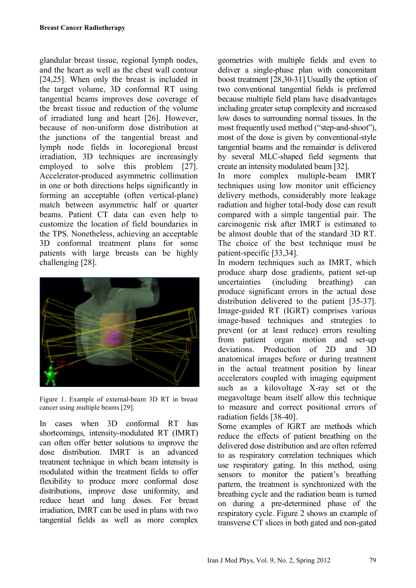glandular breast tissue, regional lymph nodes, and the heart as well as the chest wall contour [24,25]. When only the breast is included in the target volume, 3D conformal RT using tangential beams improves dose coverage of the breast tissue and reduction of the volume of irradiated lung and heart [26]. However, because of non-uniform dose distribution at the junctions of the tangential breast and lymph node fields in locoregional breast irradiation, 3D techniques are increasingly employed to solve this problem [27]. Accelerator-produced asymmetric collimation in one or both directions helps significantly in forming an acceptable (often vertical-plane) match between asymmetric half or quarter beams. Patient CT data can even help to customize the location of field boundaries in the TPS. Nonetheless, achieving an acceptable 3D conformal treatment plans for some patients with large breasts can be highly challenging [28].



Figure 1. Example of external-beam 3D RT in breast cancer using multiple beams [29].

In cases when 3D conformal RT has shortcomings, intensity-modulated RT (IMRT) can often offer better solutions to improve the dose distribution. IMRT is an advanced treatment technique in which beam intensity is modulated within the treatment fields to offer flexibility to produce more conformal dose distributions, improve dose uniformity, and reduce heart and lung doses. For breast irradiation, IMRT can be used in plans with two tangential fields as well as more complex

geometries with multiple fields and even to deliver a single-phase plan with concomitant boost treatment [28,30-31].Usually the option of two conventional tangential fields is preferred because multiple field plans have disadvantages including greater setup complexity and increased low doses to surrounding normal tissues. In the most frequently used method ("step-and-shoot"), most of the dose is given by conventional-style tangential beams and the remainder is delivered by several MLC-shaped field segments that create an intensity modulated beam [32].

In more complex multiple-beam IMRT techniques using low monitor unit efficiency delivery methods, considerably more leakage radiation and higher total-body dose can result compared with a simple tangential pair. The carcinogenic risk after IMRT is estimated to be almost double that of the standard 3D RT. The choice of the best technique must be patient-specific [33,34].

In modern techniques such as IMRT, which produce sharp dose gradients, patient set-up uncertainties (including breathing) can produce significant errors in the actual dose distribution delivered to the patient [35-37]. Image-guided RT (IGRT) comprises various image-based techniques and strategies to prevent (or at least reduce) errors resulting from patient organ motion and set-up deviations. Production of 2D and 3D anatomical images before or during treatment in the actual treatment position by linear accelerators coupled with imaging equipment such as a kilovoltage X-ray set or the megavoltage beam itself allow this technique to measure and correct positional errors of radiation fields [38-40].

Some examples of IGRT are methods which reduce the effects of patient breathing on the delivered dose distribution and are often referred to as respiratory correlation techniques which use respiratory gating. In this method, using sensors to monitor the patient's breathing pattern, the treatment is synchronized with the breathing cycle and the radiation beam is turned on during a pre-determined phase of the respiratory cycle. Figure 2 shows an example of transverse CT slices in both gated and non-gated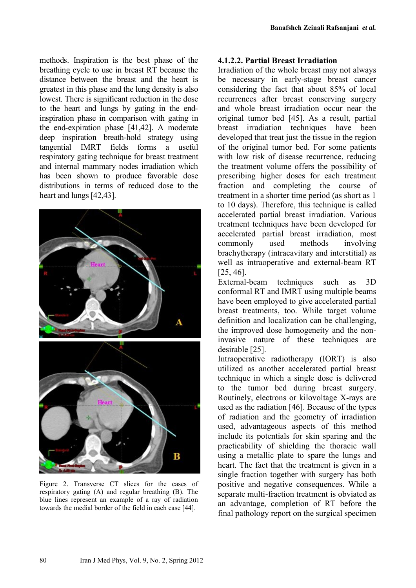methods. Inspiration is the best phase of the breathing cycle to use in breast RT because the distance between the breast and the heart is greatest in this phase and the lung density is also lowest. There is significant reduction in the dose to the heart and lungs by gating in the endinspiration phase in comparison with gating in the end-expiration phase [41,42]. A moderate deep inspiration breath-hold strategy using tangential IMRT fields forms a useful respiratory gating technique for breast treatment and internal mammary nodes irradiation which has been shown to produce favorable dose distributions in terms of reduced dose to the heart and lungs [42,43].



Figure 2. Transverse CT slices for the cases of respiratory gating (A) and regular breathing (B). The blue lines represent an example of a ray of radiation towards the medial border of the field in each case [44].

#### **4.1.2.2. Partial Breast Irradiation**

Irradiation of the whole breast may not always be necessary in early-stage breast cancer considering the fact that about 85% of local recurrences after breast conserving surgery and whole breast irradiation occur near the original tumor bed [45]. As a result, partial breast irradiation techniques have been developed that treat just the tissue in the region of the original tumor bed. For some patients with low risk of disease recurrence, reducing the treatment volume offers the possibility of prescribing higher doses for each treatment fraction and completing the course of treatment in a shorter time period (as short as 1 to 10 days). Therefore, this technique is called accelerated partial breast irradiation. Various treatment techniques have been developed for accelerated partial breast irradiation, most commonly used methods involving brachytherapy (intracavitary and interstitial) as well as intraoperative and external-beam RT [25, 46].

External-beam techniques such as 3D conformal RT and IMRT using multiple beams have been employed to give accelerated partial breast treatments, too. While target volume definition and localization can be challenging, the improved dose homogeneity and the noninvasive nature of these techniques are desirable [25].

Intraoperative radiotherapy (IORT) is also utilized as another accelerated partial breast technique in which a single dose is delivered to the tumor bed during breast surgery. Routinely, electrons or kilovoltage X-rays are used as the radiation [46]. Because of the types of radiation and the geometry of irradiation used, advantageous aspects of this method include its potentials for skin sparing and the practicability of shielding the thoracic wall using a metallic plate to spare the lungs and heart. The fact that the treatment is given in a single fraction together with surgery has both positive and negative consequences. While a separate multi-fraction treatment is obviated as an advantage, completion of RT before the final pathology report on the surgical specimen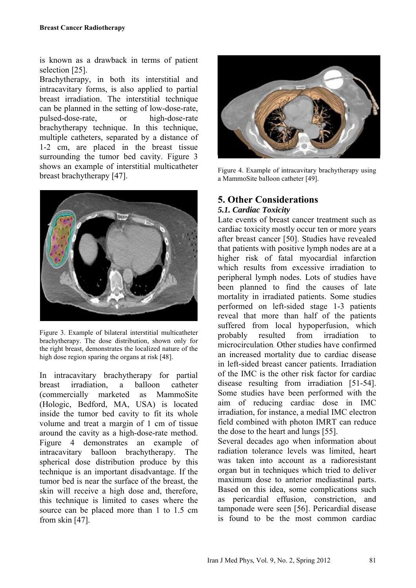is known as a drawback in terms of patient selection [25].

Brachytherapy, in both its interstitial and intracavitary forms, is also applied to partial breast irradiation. The interstitial technique can be planned in the setting of low-dose-rate, pulsed-dose-rate, or high-dose-rate brachytherapy technique. In this technique, multiple catheters, separated by a distance of 1-2 cm, are placed in the breast tissue surrounding the tumor bed cavity. Figure 3 shows an example of interstitial multicatheter breast brachytherapy [47].



Figure 3. Example of bilateral interstitial multicatheter brachytherapy. The dose distribution, shown only for the right breast, demonstrates the localized nature of the high dose region sparing the organs at risk [48].

In intracavitary brachytherapy for partial breast irradiation, a balloon catheter (commercially marketed as MammoSite (Hologic, Bedford, MA, USA) is located inside the tumor bed cavity to fit its whole volume and treat a margin of 1 cm of tissue around the cavity as a high-dose-rate method. Figure 4 demonstrates an example of intracavitary balloon brachytherapy. The spherical dose distribution produce by this technique is an important disadvantage. If the tumor bed is near the surface of the breast, the skin will receive a high dose and, therefore, this technique is limited to cases where the source can be placed more than 1 to 1.5 cm from skin [47].



Figure 4. Example of intracavitary brachytherapy using a MammoSite balloon catheter [49].

## **5. Other Considerations** *5.1. Cardiac Toxicity*

Late events of breast cancer treatment such as cardiac toxicity mostly occur ten or more years after breast cancer [50]. Studies have revealed that patients with positive lymph nodes are at a higher risk of fatal myocardial infarction which results from excessive irradiation to peripheral lymph nodes. Lots of studies have been planned to find the causes of late mortality in irradiated patients. Some studies performed on left-sided stage 1-3 patients reveal that more than half of the patients suffered from local hypoperfusion, which probably resulted from irradiation to microcirculation. Other studies have confirmed an increased mortality due to cardiac disease in left-sided breast cancer patients. Irradiation of the IMC is the other risk factor for cardiac disease resulting from irradiation [51-54]. Some studies have been performed with the aim of reducing cardiac dose in IMC irradiation, for instance, a medial IMC electron field combined with photon IMRT can reduce the dose to the heart and lungs [55].

Several decades ago when information about radiation tolerance levels was limited, heart was taken into account as a radioresistant organ but in techniques which tried to deliver maximum dose to anterior mediastinal parts. Based on this idea, some complications such as pericardial effusion, constriction, and tamponade were seen [56]. Pericardial disease is found to be the most common cardiac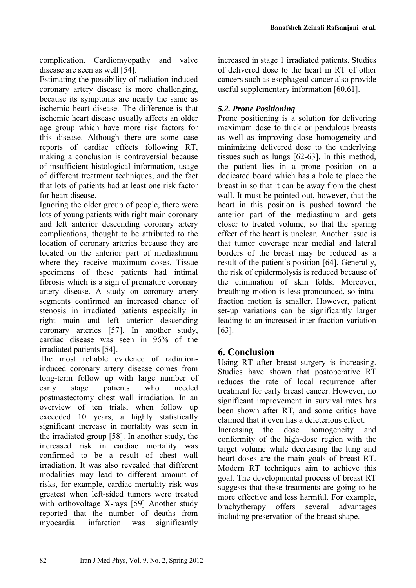complication. Cardiomyopathy and valve disease are seen as well [54].

Estimating the possibility of radiation-induced coronary artery disease is more challenging, because its symptoms are nearly the same as ischemic heart disease. The difference is that ischemic heart disease usually affects an older age group which have more risk factors for this disease. Although there are some case reports of cardiac effects following RT, making a conclusion is controversial because of insufficient histological information, usage of different treatment techniques, and the fact that lots of patients had at least one risk factor for heart disease.

Ignoring the older group of people, there were lots of young patients with right main coronary and left anterior descending coronary artery complications, thought to be attributed to the location of coronary arteries because they are located on the anterior part of mediastinum where they receive maximum doses. Tissue specimens of these patients had intimal fibrosis which is a sign of premature coronary artery disease. A study on coronary artery segments confirmed an increased chance of stenosis in irradiated patients especially in right main and left anterior descending coronary arteries [57]. In another study, cardiac disease was seen in 96% of the irradiated patients [54].

The most reliable evidence of radiationinduced coronary artery disease comes from long-term follow up with large number of early stage patients who needed postmastectomy chest wall irradiation. In an overview of ten trials, when follow up exceeded 10 years, a highly statistically significant increase in mortality was seen in the irradiated group [58]. In another study, the increased risk in cardiac mortality was confirmed to be a result of chest wall irradiation. It was also revealed that different modalities may lead to different amount of risks, for example, cardiac mortality risk was greatest when left-sided tumors were treated with orthovoltage X-rays [59] Another study reported that the number of deaths from myocardial infarction was significantly

increased in stage 1 irradiated patients. Studies of delivered dose to the heart in RT of other cancers such as esophageal cancer also provide useful supplementary information [60,61].

### *5.2. Prone Positioning*

Prone positioning is a solution for delivering maximum dose to thick or pendulous breasts as well as improving dose homogeneity and minimizing delivered dose to the underlying tissues such as lungs [62-63]. In this method, the patient lies in a prone position on a dedicated board which has a hole to place the breast in so that it can be away from the chest wall. It must be pointed out, however, that the heart in this position is pushed toward the anterior part of the mediastinum and gets closer to treated volume, so that the sparing effect of the heart is unclear. Another issue is that tumor coverage near medial and lateral borders of the breast may be reduced as a result of the patient's position [64]. Generally, the risk of epidermolysis is reduced because of the elimination of skin folds. Moreover, breathing motion is less pronounced, so intrafraction motion is smaller. However, patient set-up variations can be significantly larger leading to an increased inter-fraction variation [63].

## **6. Conclusion**

Using RT after breast surgery is increasing. Studies have shown that postoperative RT reduces the rate of local recurrence after treatment for early breast cancer. However, no significant improvement in survival rates has been shown after RT, and some critics have claimed that it even has a deleterious effect. Increasing the dose homogeneity and conformity of the high-dose region with the target volume while decreasing the lung and heart doses are the main goals of breast RT. Modern RT techniques aim to achieve this goal. The developmental process of breast RT suggests that these treatments are going to be more effective and less harmful. For example, brachytherapy offers several advantages including preservation of the breast shape.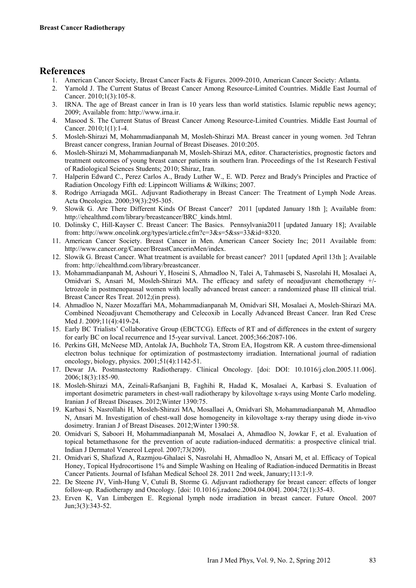### **References**

- 1. American Cancer Society, Breast Cancer Facts & Figures. 2009-2010, American Cancer Society: Atlanta.
- 2. Yarnold J. The Current Status of Breast Cancer Among Resource-Limited Countries. Middle East Journal of Cancer. 2010;1(3):105-8.
- 3. IRNA. The age of Breast cancer in Iran is 10 years less than world statistics. Islamic republic news agency; 2009; Available from: http://www.irna.ir.
- 4. Masood S. The Current Status of Breast Cancer Among Resource-Limited Countries. Middle East Journal of Cancer. 2010;1(1):1-4.
- 5. Mosleh-Shirazi M, Mohammadianpanah M, Mosleh-Shirazi MA. Breast cancer in young women. 3rd Tehran Breast cancer congress, Iranian Journal of Breast Diseases. 2010:205.
- 6. Mosleh-Shirazi M, Mohammadianpanah M, Mosleh-Shirazi MA, editor. Characteristics, prognostic factors and treatment outcomes of young breast cancer patients in southern Iran. Proceedings of the 1st Research Festival of Radiological Sciences Students; 2010; Shiraz, Iran.
- 7. Halperin Edward C., Perez Carlos A., Brady Luther W., E. WD. Perez and Brady's Principles and Practice of Radiation Oncology Fifth ed: Lippincott Williams & Wilkins; 2007.
- 8. Rodrigo Arriagada MGL. Adjuvant Radiotherapy in Breast Cancer: The Treatment of Lymph Node Areas. Acta Oncologica. 2000;39(3):295-305.
- 9. Slowik G. Are There Different Kinds Of Breast Cancer? 2011 [updated January 18th ]; Available from: http://ehealthmd.com/library/breastcancer/BRC\_kinds.html.
- 10. Dolinsky C, Hill-Kayser C. Breast Cancer: The Basics. Pennsylvania2011 [updated January 18]; Available from: http://www.oncolink.org/types/article.cfm?c=3&s=5&ss=33&id=8320.
- 11. American Cancer Society. Breast Cancer in Men. American Cancer Society Inc; 2011 Available from: http://www.cancer.org/Cancer/BreastCancerinMen/index.
- 12. Slowik G. Breast Cancer. What treatment is available for breast cancer? 2011 [updated April 13th ]; Available from: http://ehealthmd.com/library/breastcancer.
- 13. Mohammadianpanah M, Ashouri Y, Hoseini S, Ahmadloo N, Talei A, Tahmasebi S, Nasrolahi H, Mosalaei A, Omidvari S, Ansari M, Mosleh-Shirazi MA. The efficacy and safety of neoadjuvant chemotherapy +/ letrozole in postmenopausal women with locally advanced breast cancer: a randomized phase III clinical trial. Breast Cancer Res Treat. 2012;(in press).
- 14. Ahmadloo N, Nazer Mozaffari MA, Mohammadianpanah M, Omidvari SH, Mosalaei A, Mosleh-Shirazi MA. Combined Neoadjuvant Chemotherapy and Celecoxib in Locally Advanced Breast Cancer. Iran Red Cresc Med J. 2009;11(4):419-24.
- 15. Early BC Trialists' Collaborative Group (EBCTCG). Effects of RT and of differences in the extent of surgery for early BC on local recurrence and 15-year survival. Lancet. 2005;366:2087-106.
- 16. Perkins GH, McNeese MD, Antolak JA, Buchholz TA, Strom EA, Hogstrom KR. A custom three-dimensional electron bolus technique for optimization of postmastectomy irradiation. International journal of radiation oncology, biology, physics. 2001;51(4):1142-51.
- 17. Dewar JA. Postmastectomy Radiotherapy. Clinical Oncology. [doi: DOI: 10.1016/j.clon.2005.11.006]. 2006;18(3):185-90.
- 18. Mosleh-Shirazi MA, Zeinali-Rafsanjani B, Faghihi R, Hadad K, Mosalaei A, Karbasi S. Evaluation of important dosimetric parameters in chest-wall radiotherapy by kilovoltage x-rays using Monte Carlo modeling. Iranian J of Breast Diseases. 2012;Winter 1390:75.
- 19. Karbasi S, Nasrollahi H, Mosleh-Shirazi MA, Mosallaei A, Omidvari Sh, Mohammadianpanah M, Ahmadloo N, Ansari M. Investigation of chest-wall dose homogeneity in kilovoltage x-ray therapy using diode in-vivo dosimetry. Iranian J of Breast Diseases. 2012;Winter 1390:58.
- 20. Omidvari S, Saboori H, Mohammadianpanah M, Mosalaei A, Ahmadloo N, Jowkar F, et al. Evaluation of topical betamethasone for the prevention of acute radiation-induced dermatitis: a prospective clinical trial. Indian J Dermatol Venereol Leprol. 2007;73(209).
- 21. Omidvari S, Shafizad A, Razmjou-Ghalaei S, Nasrolahi H, Ahmadloo N, Ansari M, et al. Efficacy of Topical Honey, Topical Hydrocortisone 1% and Simple Washing on Healing of Radiation-induced Dermatitis in Breast Cancer Patients. Journal of Isfahan Medical School 28. 2011 2nd week, January;113:1-9.
- 22. De Steene JV, Vinh-Hung V, Cutuli B, Storme G. Adjuvant radiotherapy for breast cancer: effects of longer follow-up. Radiotherapy and Oncology. [doi: 10.1016/j.radonc.2004.04.004]. 2004;72(1):35-43.
- 23. Erven K, Van Limbergen E. Regional lymph node irradiation in breast cancer. Future Oncol. 2007 Jun;3(3):343-52.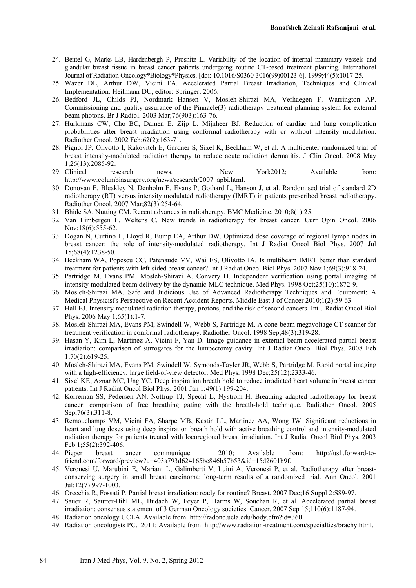- 24. Bentel G, Marks LB, Hardenbergh P, Prosnitz L. Variability of the location of internal mammary vessels and glandular breast tissue in breast cancer patients undergoing routine CT-based treatment planning. International Journal of Radiation Oncology\*Biology\*Physics. [doi: 10.1016/S0360-3016(99)00123-6]. 1999;44(5):1017-25.
- 25. Wazer DE, Arthur DW, Vicini FA. Accelerated Partial Breast Irradiation, Techniques and Clinical Implementation. Heilmann DU, editor: Springer; 2006.
- 26. Bedford JL, Childs PJ, Nordmark Hansen V, Mosleh-Shirazi MA, Verhaegen F, Warrington AP. Commissioning and quality assurance of the Pinnacle(3) radiotherapy treatment planning system for external beam photons. Br J Radiol. 2003 Mar;76(903):163-76.
- 27. Hurkmans CW, Cho BC, Damen E, Zijp L, Mijnheer BJ. Reduction of cardiac and lung complication probabilities after breast irradiation using conformal radiotherapy with or without intensity modulation. Radiother Oncol. 2002 Feb;62(2):163-71.
- 28. Pignol JP, Olivotto I, Rakovitch E, Gardner S, Sixel K, Beckham W, et al. A multicenter randomized trial of breast intensity-modulated radiation therapy to reduce acute radiation dermatitis. J Clin Oncol. 2008 May 1;26(13):2085-92.
- 29. Clinical research news. New York2012; Available from: http://www.columbiasurgery.org/news/research/2007\_apbi.html.
- 30. Donovan E, Bleakley N, Denholm E, Evans P, Gothard L, Hanson J, et al. Randomised trial of standard 2D radiotherapy (RT) versus intensity modulated radiotherapy (IMRT) in patients prescribed breast radiotherapy. Radiother Oncol. 2007 Mar;82(3):254-64.
- 31. Bhide SA, Nutting CM. Recent advances in radiotherapy. BMC Medicine. 2010;8(1):25.
- 32. Van Limbergen E, Weltens C. New trends in radiotherapy for breast cancer. Curr Opin Oncol. 2006 Nov;18(6):555-62.
- 33. Dogan N, Cuttino L, Lloyd R, Bump EA, Arthur DW. Optimized dose coverage of regional lymph nodes in breast cancer: the role of intensity-modulated radiotherapy. Int J Radiat Oncol Biol Phys. 2007 Jul 15;68(4):1238-50.
- 34. Beckham WA, Popescu CC, Patenaude VV, Wai ES, Olivotto IA. Is multibeam IMRT better than standard treatment for patients with left-sided breast cancer? Int J Radiat Oncol Biol Phys. 2007 Nov 1;69(3):918-24.
- 35. Partridge M, Evans PM, Mosleh-Shirazi A, Convery D. Independent verification using portal imaging of intensity-modulated beam delivery by the dynamic MLC technique. Med Phys. 1998 Oct;25(10):1872-9.
- 36. Mosleh-Shirazi MA. Safe and Judicious Use of Advanced Radiotherapy Techniques and Equipment: A Medical Physicist's Perspective on Recent Accident Reports. Middle East J of Cancer 2010;1(2):59-63
- 37. Hall EJ. Intensity-modulated radiation therapy, protons, and the risk of second cancers. Int J Radiat Oncol Biol Phys. 2006 May 1;65(1):1-7.
- 38. Mosleh-Shirazi MA, Evans PM, Swindell W, Webb S, Partridge M. A cone-beam megavoltage CT scanner for treatment verification in conformal radiotherapy. Radiother Oncol. 1998 Sep;48(3):319-28.
- 39. Hasan Y, Kim L, Martinez A, Vicini F, Yan D. Image guidance in external beam accelerated partial breast irradiation: comparison of surrogates for the lumpectomy cavity. Int J Radiat Oncol Biol Phys. 2008 Feb 1;70(2):619-25.
- 40. Mosleh-Shirazi MA, Evans PM, Swindell W, Symonds-Tayler JR, Webb S, Partridge M. Rapid portal imaging with a high-efficiency, large field-of-view detector. Med Phys. 1998 Dec; 25(12): 2333-46.
- 41. Sixel KE, Aznar MC, Ung YC. Deep inspiration breath hold to reduce irradiated heart volume in breast cancer patients. Int J Radiat Oncol Biol Phys. 2001 Jan 1;49(1):199-204.
- 42. Korreman SS, Pedersen AN, Nottrup TJ, Specht L, Nystrom H. Breathing adapted radiotherapy for breast cancer: comparison of free breathing gating with the breath-hold technique. Radiother Oncol. 2005 Sep; 76(3): 311-8.
- 43. Remouchamps VM, Vicini FA, Sharpe MB, Kestin LL, Martinez AA, Wong JW. Significant reductions in heart and lung doses using deep inspiration breath hold with active breathing control and intensity-modulated radiation therapy for patients treated with locoregional breast irradiation. Int J Radiat Oncol Biol Phys. 2003 Feb 1;55(2):392-406.
- 44. Pieper breast ancer communique. 2010; Available from: http://us1.forward-tofriend.com/forward/preview?u=403a793d624165bc846b57b53&id=15d2601b9f.
- 45. Veronesi U, Marubini E, Mariani L, Galimberti V, Luini A, Veronesi P, et al. Radiotherapy after breastconserving surgery in small breast carcinoma: long-term results of a randomized trial. Ann Oncol. 2001 Jul;12(7):997-1003.
- 46. Orecchia R, Fossati P. Partial breast irradiation: ready for routine? Breast. 2007 Dec;16 Suppl 2:S89-97.
- 47. Sauer R, Sautter-Bihl ML, Budach W, Feyer P, Harms W, Souchan R, et al. Accelerated partial breast irradiation: consensus statement of 3 German Oncology societies. Cancer. 2007 Sep 15;110(6):1187-94.
- 48. Radiation oncology UCLA. Available from: http://radonc.ucla.edu/body.cfm?id=360.
- 49. Radiation oncologists PC. 2011; Available from: http://www.radiation-treatment.com/specialties/brachy.html.